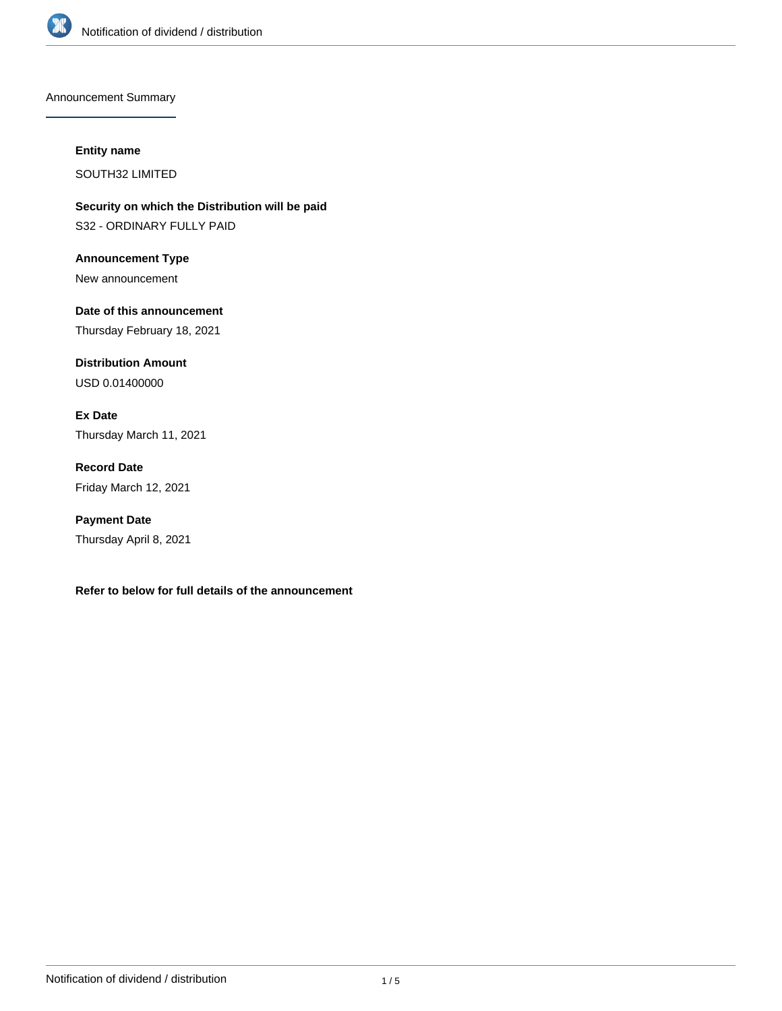

Announcement Summary

#### **Entity name**

SOUTH32 LIMITED

**Security on which the Distribution will be paid** S32 - ORDINARY FULLY PAID

**Announcement Type** New announcement

**Date of this announcement** Thursday February 18, 2021

**Distribution Amount** USD 0.01400000

**Ex Date** Thursday March 11, 2021

**Record Date** Friday March 12, 2021

**Payment Date** Thursday April 8, 2021

**Refer to below for full details of the announcement**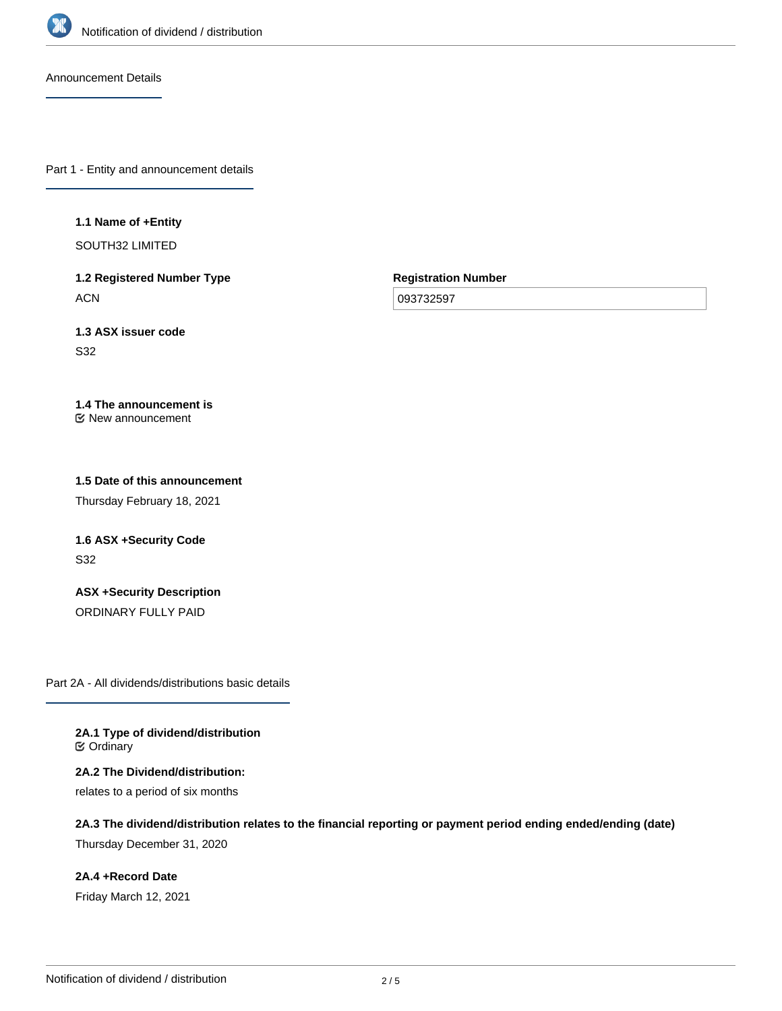

Announcement Details

Part 1 - Entity and announcement details

### **1.1 Name of +Entity**

SOUTH32 LIMITED

**1.2 Registered Number Type ACN** 

**Registration Number**

093732597

**1.3 ASX issuer code** S32

**1.4 The announcement is** New announcement

**1.5 Date of this announcement**

Thursday February 18, 2021

**1.6 ASX +Security Code** S32

**ASX +Security Description** ORDINARY FULLY PAID

Part 2A - All dividends/distributions basic details

**2A.1 Type of dividend/distribution ⊘** Ordinary

**2A.2 The Dividend/distribution:** relates to a period of six months

**2A.3 The dividend/distribution relates to the financial reporting or payment period ending ended/ending (date)** Thursday December 31, 2020

**2A.4 +Record Date** Friday March 12, 2021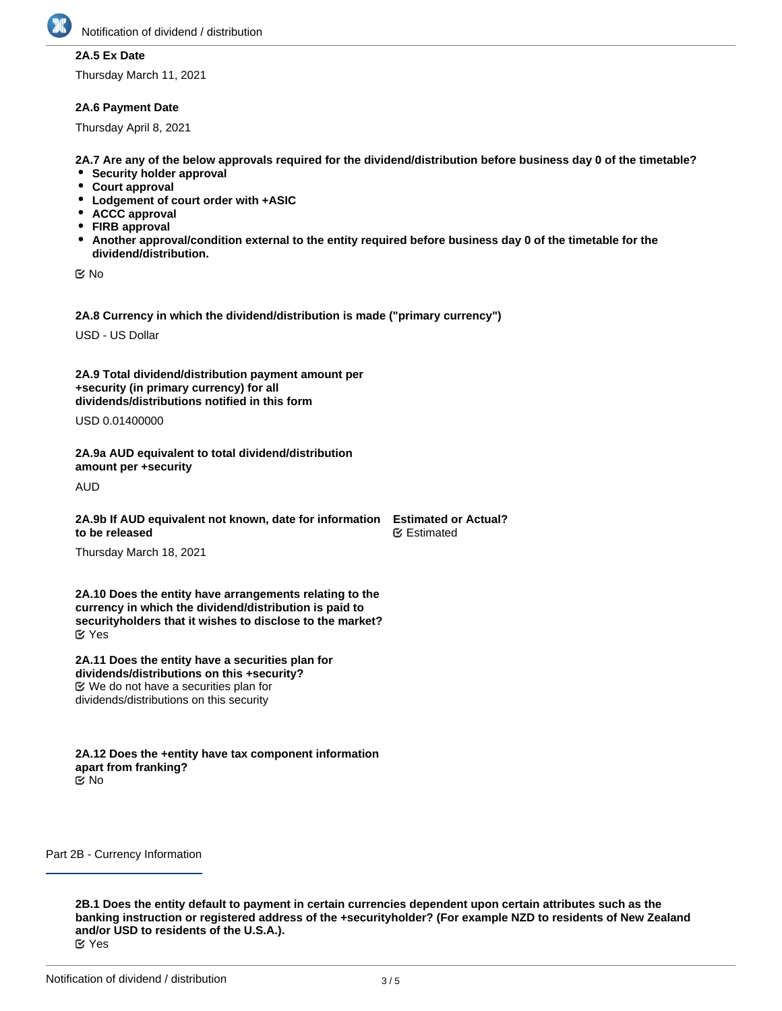

# **2A.5 Ex Date**

Thursday March 11, 2021

## **2A.6 Payment Date**

Thursday April 8, 2021

**2A.7 Are any of the below approvals required for the dividend/distribution before business day 0 of the timetable?**

- **Security holder approval**
- **Court approval**
- **Lodgement of court order with +ASIC**
- **ACCC approval**
- **FIRB approval**
- **Another approval/condition external to the entity required before business day 0 of the timetable for the dividend/distribution.**

No

**2A.8 Currency in which the dividend/distribution is made ("primary currency")**

USD - US Dollar

**2A.9 Total dividend/distribution payment amount per +security (in primary currency) for all dividends/distributions notified in this form**

USD 0.01400000

**2A.9a AUD equivalent to total dividend/distribution amount per +security**

AUD

**2A.9b If AUD equivalent not known, date for information to be released Estimated or Actual?** ∉ Estimated

Thursday March 18, 2021

**2A.10 Does the entity have arrangements relating to the currency in which the dividend/distribution is paid to securityholders that it wishes to disclose to the market?** Yes

**2A.11 Does the entity have a securities plan for dividends/distributions on this +security?** We do not have a securities plan for dividends/distributions on this security

**2A.12 Does the +entity have tax component information apart from franking?** No

Part 2B - Currency Information

**2B.1 Does the entity default to payment in certain currencies dependent upon certain attributes such as the banking instruction or registered address of the +securityholder? (For example NZD to residents of New Zealand and/or USD to residents of the U.S.A.).** Yes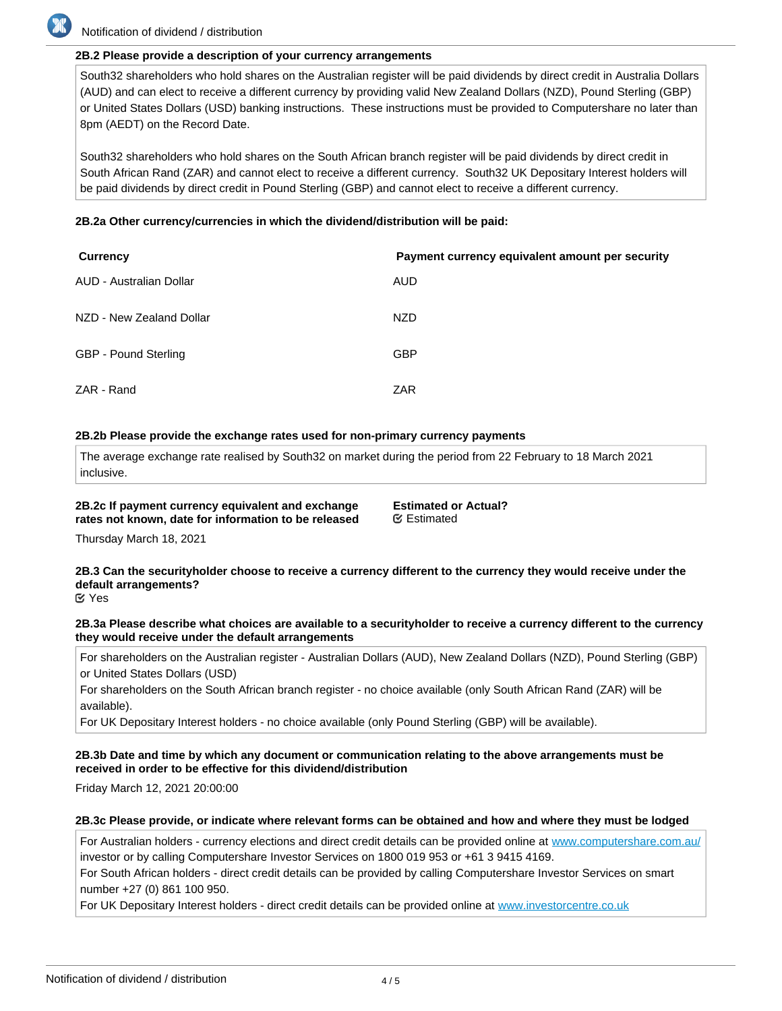

# Notification of dividend / distribution

## **2B.2 Please provide a description of your currency arrangements**

South32 shareholders who hold shares on the Australian register will be paid dividends by direct credit in Australia Dollars (AUD) and can elect to receive a different currency by providing valid New Zealand Dollars (NZD), Pound Sterling (GBP) or United States Dollars (USD) banking instructions. These instructions must be provided to Computershare no later than 8pm (AEDT) on the Record Date.

South32 shareholders who hold shares on the South African branch register will be paid dividends by direct credit in South African Rand (ZAR) and cannot elect to receive a different currency. South32 UK Depositary Interest holders will be paid dividends by direct credit in Pound Sterling (GBP) and cannot elect to receive a different currency.

#### **2B.2a Other currency/currencies in which the dividend/distribution will be paid:**

| <b>Currency</b>          | Payment currency equivalent amount per security |
|--------------------------|-------------------------------------------------|
| AUD - Australian Dollar  | <b>AUD</b>                                      |
| NZD - New Zealand Dollar | NZD                                             |
| GBP - Pound Sterling     | <b>GBP</b>                                      |
| ZAR - Rand               | <b>ZAR</b>                                      |

#### **2B.2b Please provide the exchange rates used for non-primary currency payments**

The average exchange rate realised by South32 on market during the period from 22 February to 18 March 2021 inclusive.

**2B.2c If payment currency equivalent and exchange rates not known, date for information to be released**

**Estimated or Actual?** Estimated

Thursday March 18, 2021

# **2B.3 Can the securityholder choose to receive a currency different to the currency they would receive under the default arrangements?**

Yes

#### **2B.3a Please describe what choices are available to a securityholder to receive a currency different to the currency they would receive under the default arrangements**

For shareholders on the Australian register - Australian Dollars (AUD), New Zealand Dollars (NZD), Pound Sterling (GBP) or United States Dollars (USD)

For shareholders on the South African branch register - no choice available (only South African Rand (ZAR) will be available).

For UK Depositary Interest holders - no choice available (only Pound Sterling (GBP) will be available).

## **2B.3b Date and time by which any document or communication relating to the above arrangements must be received in order to be effective for this dividend/distribution**

Friday March 12, 2021 20:00:00

#### **2B.3c Please provide, or indicate where relevant forms can be obtained and how and where they must be lodged**

For Australian holders - currency elections and direct credit details can be provided online at [www.computershare.com.au/](http://www.computershare.com.au/) investor or by calling Computershare Investor Services on 1800 019 953 or +61 3 9415 4169.

For South African holders - direct credit details can be provided by calling Computershare Investor Services on smart number +27 (0) 861 100 950.

For UK Depositary Interest holders - direct credit details can be provided online at [www.investorcentre.co.uk](http://www.investorcentre.co.uk)